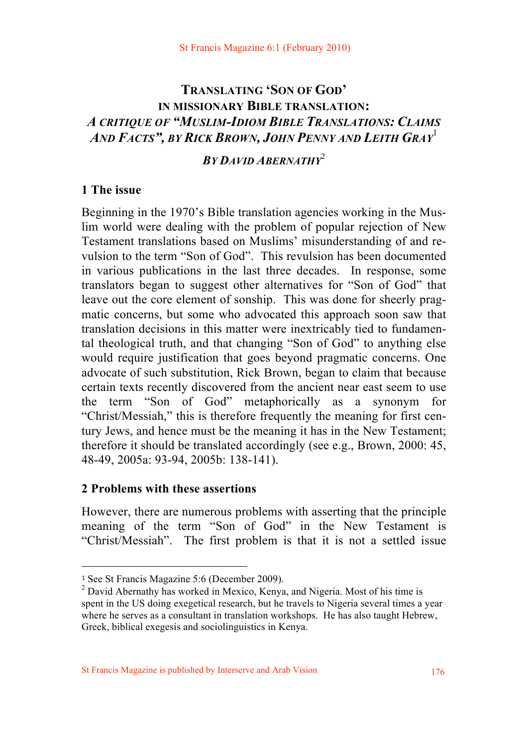# **TRANSLATING 'SON OF GOD' IN MISSIONARY BIBLE TRANSLATION:** *A CRITIQUE OF "MUSLIM-IDIOM BIBLE TRANSLATIONS: CLAIMS AND FACTS", BY RICK BROWN, JOHN PENNY AND LEITH GRAY*<sup>1</sup>

*BY DAVID ABERNATHY*<sup>2</sup>

# **1 The issue**

Beginning in the 1970's Bible translation agencies working in the Muslim world were dealing with the problem of popular rejection of New Testament translations based on Muslims' misunderstanding of and revulsion to the term "Son of God". This revulsion has been documented in various publications in the last three decades. In response, some translators began to suggest other alternatives for "Son of God" that leave out the core element of sonship. This was done for sheerly pragmatic concerns, but some who advocated this approach soon saw that translation decisions in this matter were inextricably tied to fundamental theological truth, and that changing "Son of God" to anything else would require justification that goes beyond pragmatic concerns. One advocate of such substitution, Rick Brown, began to claim that because certain texts recently discovered from the ancient near east seem to use the term "Son of God" metaphorically as a synonym for "Christ/Messiah," this is therefore frequently the meaning for first century Jews, and hence must be the meaning it has in the New Testament; therefore it should be translated accordingly (see e.g., Brown, 2000: 45, 48-49, 2005a: 93-94, 2005b: 138-141).

### **2 Problems with these assertions**

However, there are numerous problems with asserting that the principle meaning of the term "Son of God" in the New Testament is "Christ/Messiah". The first problem is that it is not a settled issue

<sup>1</sup> See St Francis Magazine 5:6 (December 2009).

<sup>&</sup>lt;sup>2</sup> David Abernathy has worked in Mexico, Kenya, and Nigeria. Most of his time is spent in the US doing exegetical research, but he travels to Nigeria several times a year where he serves as a consultant in translation workshops. He has also taught Hebrew, Greek, biblical exegesis and sociolinguistics in Kenya.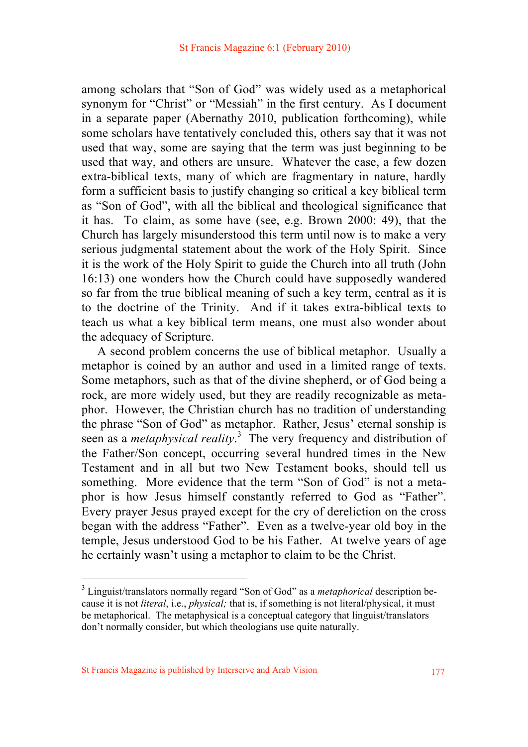among scholars that "Son of God" was widely used as a metaphorical synonym for "Christ" or "Messiah" in the first century. As I document in a separate paper (Abernathy 2010, publication forthcoming), while some scholars have tentatively concluded this, others say that it was not used that way, some are saying that the term was just beginning to be used that way, and others are unsure. Whatever the case, a few dozen extra-biblical texts, many of which are fragmentary in nature, hardly form a sufficient basis to justify changing so critical a key biblical term as "Son of God", with all the biblical and theological significance that it has. To claim, as some have (see, e.g. Brown 2000: 49), that the Church has largely misunderstood this term until now is to make a very serious judgmental statement about the work of the Holy Spirit. Since it is the work of the Holy Spirit to guide the Church into all truth (John 16:13) one wonders how the Church could have supposedly wandered so far from the true biblical meaning of such a key term, central as it is to the doctrine of the Trinity. And if it takes extra-biblical texts to teach us what a key biblical term means, one must also wonder about the adequacy of Scripture.

 A second problem concerns the use of biblical metaphor. Usually a metaphor is coined by an author and used in a limited range of texts. Some metaphors, such as that of the divine shepherd, or of God being a rock, are more widely used, but they are readily recognizable as metaphor. However, the Christian church has no tradition of understanding the phrase "Son of God" as metaphor. Rather, Jesus' eternal sonship is seen as a *metaphysical reality*. <sup>3</sup> The very frequency and distribution of the Father/Son concept, occurring several hundred times in the New Testament and in all but two New Testament books, should tell us something. More evidence that the term "Son of God" is not a metaphor is how Jesus himself constantly referred to God as "Father". Every prayer Jesus prayed except for the cry of dereliction on the cross began with the address "Father". Even as a twelve-year old boy in the temple, Jesus understood God to be his Father. At twelve years of age he certainly wasn't using a metaphor to claim to be the Christ.

<sup>3</sup> Linguist/translators normally regard "Son of God" as a *metaphorical* description because it is not *literal*, i.e., *physical;* that is, if something is not literal/physical, it must be metaphorical. The metaphysical is a conceptual category that linguist/translators don't normally consider, but which theologians use quite naturally.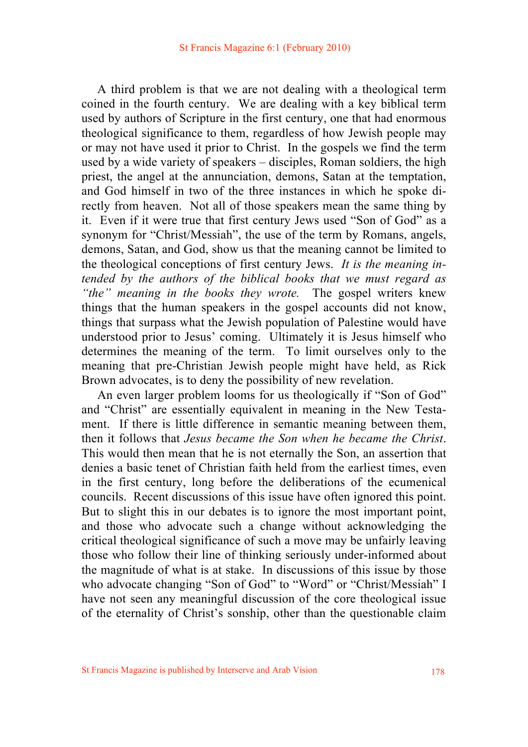A third problem is that we are not dealing with a theological term coined in the fourth century. We are dealing with a key biblical term used by authors of Scripture in the first century, one that had enormous theological significance to them, regardless of how Jewish people may or may not have used it prior to Christ. In the gospels we find the term used by a wide variety of speakers – disciples, Roman soldiers, the high priest, the angel at the annunciation, demons, Satan at the temptation, and God himself in two of the three instances in which he spoke directly from heaven. Not all of those speakers mean the same thing by it. Even if it were true that first century Jews used "Son of God" as a synonym for "Christ/Messiah", the use of the term by Romans, angels, demons, Satan, and God, show us that the meaning cannot be limited to the theological conceptions of first century Jews. *It is the meaning intended by the authors of the biblical books that we must regard as "the" meaning in the books they wrote.* The gospel writers knew things that the human speakers in the gospel accounts did not know, things that surpass what the Jewish population of Palestine would have understood prior to Jesus' coming. Ultimately it is Jesus himself who determines the meaning of the term. To limit ourselves only to the meaning that pre-Christian Jewish people might have held, as Rick Brown advocates, is to deny the possibility of new revelation.

 An even larger problem looms for us theologically if "Son of God" and "Christ" are essentially equivalent in meaning in the New Testament. If there is little difference in semantic meaning between them, then it follows that *Jesus became the Son when he became the Christ*. This would then mean that he is not eternally the Son, an assertion that denies a basic tenet of Christian faith held from the earliest times, even in the first century, long before the deliberations of the ecumenical councils. Recent discussions of this issue have often ignored this point. But to slight this in our debates is to ignore the most important point, and those who advocate such a change without acknowledging the critical theological significance of such a move may be unfairly leaving those who follow their line of thinking seriously under-informed about the magnitude of what is at stake. In discussions of this issue by those who advocate changing "Son of God" to "Word" or "Christ/Messiah" I have not seen any meaningful discussion of the core theological issue of the eternality of Christ's sonship, other than the questionable claim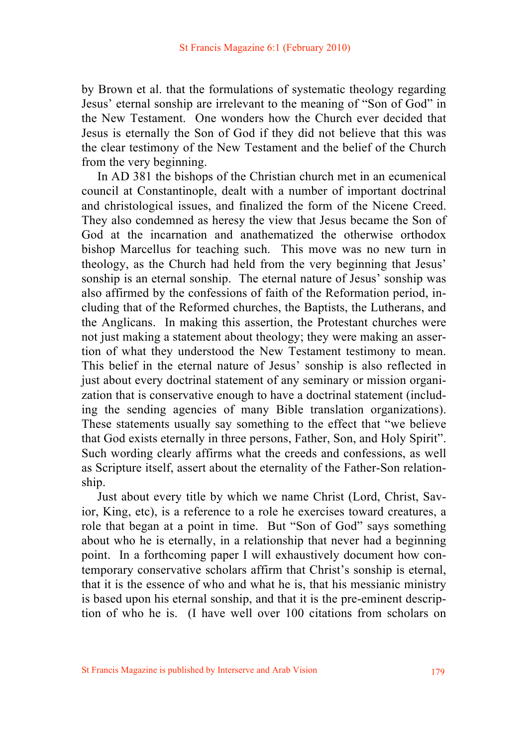by Brown et al. that the formulations of systematic theology regarding Jesus' eternal sonship are irrelevant to the meaning of "Son of God" in the New Testament. One wonders how the Church ever decided that Jesus is eternally the Son of God if they did not believe that this was the clear testimony of the New Testament and the belief of the Church from the very beginning.

 In AD 381 the bishops of the Christian church met in an ecumenical council at Constantinople, dealt with a number of important doctrinal and christological issues, and finalized the form of the Nicene Creed. They also condemned as heresy the view that Jesus became the Son of God at the incarnation and anathematized the otherwise orthodox bishop Marcellus for teaching such. This move was no new turn in theology, as the Church had held from the very beginning that Jesus' sonship is an eternal sonship. The eternal nature of Jesus' sonship was also affirmed by the confessions of faith of the Reformation period, including that of the Reformed churches, the Baptists, the Lutherans, and the Anglicans. In making this assertion, the Protestant churches were not just making a statement about theology; they were making an assertion of what they understood the New Testament testimony to mean. This belief in the eternal nature of Jesus' sonship is also reflected in just about every doctrinal statement of any seminary or mission organization that is conservative enough to have a doctrinal statement (including the sending agencies of many Bible translation organizations). These statements usually say something to the effect that "we believe that God exists eternally in three persons, Father, Son, and Holy Spirit". Such wording clearly affirms what the creeds and confessions, as well as Scripture itself, assert about the eternality of the Father-Son relationship.

 Just about every title by which we name Christ (Lord, Christ, Savior, King, etc), is a reference to a role he exercises toward creatures, a role that began at a point in time. But "Son of God" says something about who he is eternally, in a relationship that never had a beginning point. In a forthcoming paper I will exhaustively document how contemporary conservative scholars affirm that Christ's sonship is eternal, that it is the essence of who and what he is, that his messianic ministry is based upon his eternal sonship, and that it is the pre-eminent description of who he is. (I have well over 100 citations from scholars on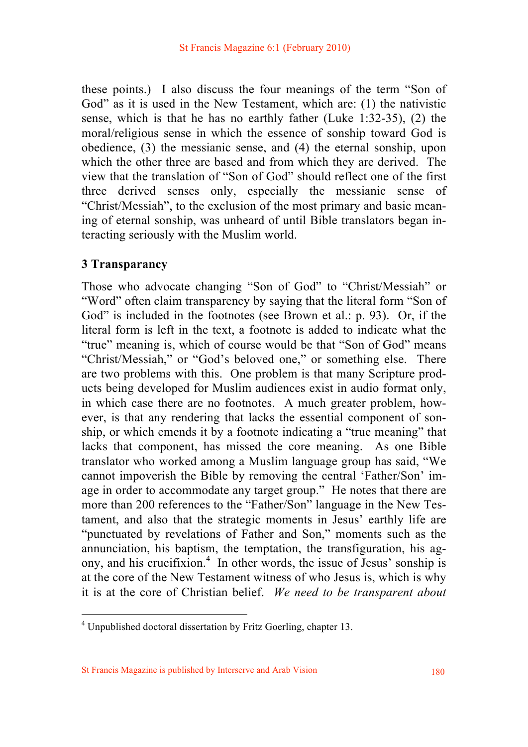these points.) I also discuss the four meanings of the term "Son of God" as it is used in the New Testament, which are: (1) the nativistic sense, which is that he has no earthly father (Luke 1:32-35), (2) the moral/religious sense in which the essence of sonship toward God is obedience, (3) the messianic sense, and (4) the eternal sonship, upon which the other three are based and from which they are derived. The view that the translation of "Son of God" should reflect one of the first three derived senses only, especially the messianic sense of "Christ/Messiah", to the exclusion of the most primary and basic meaning of eternal sonship, was unheard of until Bible translators began interacting seriously with the Muslim world.

### **3 Transparancy**

Those who advocate changing "Son of God" to "Christ/Messiah" or "Word" often claim transparency by saying that the literal form "Son of God" is included in the footnotes (see Brown et al.: p. 93). Or, if the literal form is left in the text, a footnote is added to indicate what the "true" meaning is, which of course would be that "Son of God" means "Christ/Messiah," or "God's beloved one," or something else. There are two problems with this. One problem is that many Scripture products being developed for Muslim audiences exist in audio format only, in which case there are no footnotes. A much greater problem, however, is that any rendering that lacks the essential component of sonship, or which emends it by a footnote indicating a "true meaning" that lacks that component, has missed the core meaning. As one Bible translator who worked among a Muslim language group has said, "We cannot impoverish the Bible by removing the central 'Father/Son' image in order to accommodate any target group." He notes that there are more than 200 references to the "Father/Son" language in the New Testament, and also that the strategic moments in Jesus' earthly life are "punctuated by revelations of Father and Son," moments such as the annunciation, his baptism, the temptation, the transfiguration, his agony, and his crucifixion.<sup>4</sup> In other words, the issue of Jesus' sonship is at the core of the New Testament witness of who Jesus is, which is why it is at the core of Christian belief. *We need to be transparent about* 

<sup>&</sup>lt;sup>4</sup> Unpublished doctoral dissertation by Fritz Goerling, chapter 13.

St Francis Magazine is published by Interserve and Arab Vision 180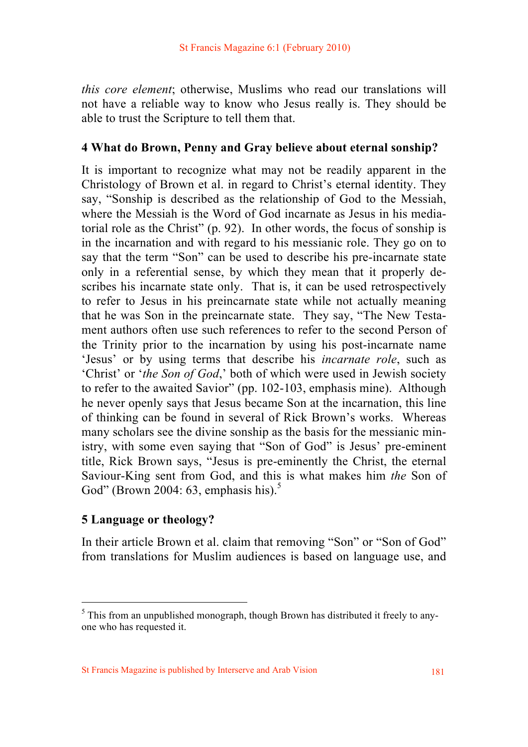*this core element*; otherwise, Muslims who read our translations will not have a reliable way to know who Jesus really is. They should be able to trust the Scripture to tell them that.

### **4 What do Brown, Penny and Gray believe about eternal sonship?**

It is important to recognize what may not be readily apparent in the Christology of Brown et al. in regard to Christ's eternal identity. They say, "Sonship is described as the relationship of God to the Messiah, where the Messiah is the Word of God incarnate as Jesus in his mediatorial role as the Christ" (p. 92). In other words, the focus of sonship is in the incarnation and with regard to his messianic role. They go on to say that the term "Son" can be used to describe his pre-incarnate state only in a referential sense, by which they mean that it properly describes his incarnate state only. That is, it can be used retrospectively to refer to Jesus in his preincarnate state while not actually meaning that he was Son in the preincarnate state. They say, "The New Testament authors often use such references to refer to the second Person of the Trinity prior to the incarnation by using his post-incarnate name 'Jesus' or by using terms that describe his *incarnate role*, such as 'Christ' or '*the Son of God*,' both of which were used in Jewish society to refer to the awaited Savior" (pp. 102-103, emphasis mine). Although he never openly says that Jesus became Son at the incarnation, this line of thinking can be found in several of Rick Brown's works. Whereas many scholars see the divine sonship as the basis for the messianic ministry, with some even saying that "Son of God" is Jesus' pre-eminent title, Rick Brown says, "Jesus is pre-eminently the Christ, the eternal Saviour-King sent from God, and this is what makes him *the* Son of God" (Brown 2004: 63, emphasis his).<sup>5</sup>

### **5 Language or theology?**

In their article Brown et al. claim that removing "Son" or "Son of God" from translations for Muslim audiences is based on language use, and

<sup>&</sup>lt;sup>5</sup> This from an unpublished monograph, though Brown has distributed it freely to anyone who has requested it.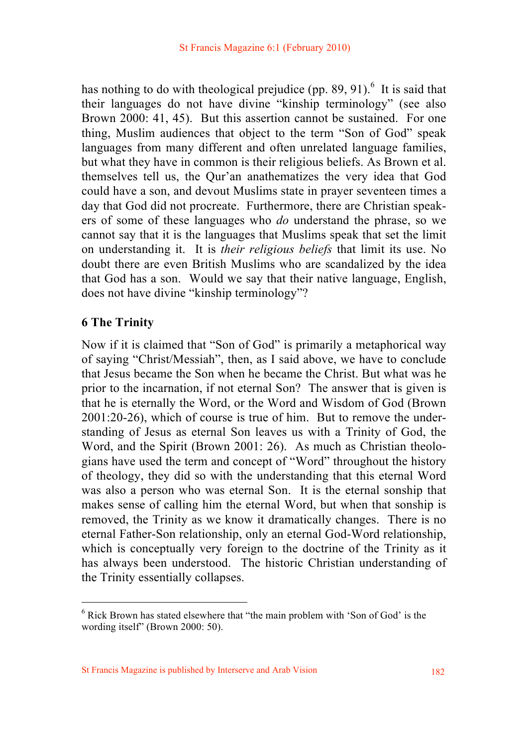has nothing to do with theological prejudice (pp.  $89, 91$ ).<sup>6</sup> It is said that their languages do not have divine "kinship terminology" (see also Brown 2000: 41, 45). But this assertion cannot be sustained. For one thing, Muslim audiences that object to the term "Son of God" speak languages from many different and often unrelated language families, but what they have in common is their religious beliefs. As Brown et al. themselves tell us, the Qur'an anathematizes the very idea that God could have a son, and devout Muslims state in prayer seventeen times a day that God did not procreate. Furthermore, there are Christian speakers of some of these languages who *do* understand the phrase, so we cannot say that it is the languages that Muslims speak that set the limit on understanding it. It is *their religious beliefs* that limit its use. No doubt there are even British Muslims who are scandalized by the idea that God has a son. Would we say that their native language, English, does not have divine "kinship terminology"?

### **6 The Trinity**

Now if it is claimed that "Son of God" is primarily a metaphorical way of saying "Christ/Messiah", then, as I said above, we have to conclude that Jesus became the Son when he became the Christ. But what was he prior to the incarnation, if not eternal Son? The answer that is given is that he is eternally the Word, or the Word and Wisdom of God (Brown 2001:20-26), which of course is true of him. But to remove the understanding of Jesus as eternal Son leaves us with a Trinity of God, the Word, and the Spirit (Brown 2001: 26). As much as Christian theologians have used the term and concept of "Word" throughout the history of theology, they did so with the understanding that this eternal Word was also a person who was eternal Son. It is the eternal sonship that makes sense of calling him the eternal Word, but when that sonship is removed, the Trinity as we know it dramatically changes. There is no eternal Father-Son relationship, only an eternal God-Word relationship, which is conceptually very foreign to the doctrine of the Trinity as it has always been understood. The historic Christian understanding of the Trinity essentially collapses.

<sup>&</sup>lt;sup>6</sup> Rick Brown has stated elsewhere that "the main problem with 'Son of God' is the wording itself" (Brown 2000: 50).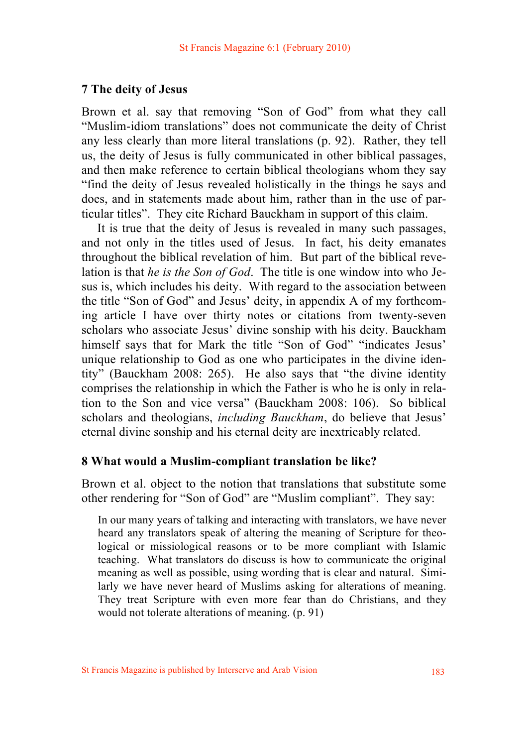#### **7 The deity of Jesus**

Brown et al. say that removing "Son of God" from what they call "Muslim-idiom translations" does not communicate the deity of Christ any less clearly than more literal translations (p. 92). Rather, they tell us, the deity of Jesus is fully communicated in other biblical passages, and then make reference to certain biblical theologians whom they say "find the deity of Jesus revealed holistically in the things he says and does, and in statements made about him, rather than in the use of particular titles". They cite Richard Bauckham in support of this claim.

 It is true that the deity of Jesus is revealed in many such passages, and not only in the titles used of Jesus. In fact, his deity emanates throughout the biblical revelation of him. But part of the biblical revelation is that *he is the Son of God*. The title is one window into who Jesus is, which includes his deity. With regard to the association between the title "Son of God" and Jesus' deity, in appendix A of my forthcoming article I have over thirty notes or citations from twenty-seven scholars who associate Jesus' divine sonship with his deity. Bauckham himself says that for Mark the title "Son of God" "indicates Jesus" unique relationship to God as one who participates in the divine identity" (Bauckham 2008: 265). He also says that "the divine identity comprises the relationship in which the Father is who he is only in relation to the Son and vice versa" (Bauckham 2008: 106). So biblical scholars and theologians, *including Bauckham*, do believe that Jesus' eternal divine sonship and his eternal deity are inextricably related.

#### **8 What would a Muslim-compliant translation be like?**

Brown et al. object to the notion that translations that substitute some other rendering for "Son of God" are "Muslim compliant". They say:

In our many years of talking and interacting with translators, we have never heard any translators speak of altering the meaning of Scripture for theological or missiological reasons or to be more compliant with Islamic teaching. What translators do discuss is how to communicate the original meaning as well as possible, using wording that is clear and natural. Similarly we have never heard of Muslims asking for alterations of meaning. They treat Scripture with even more fear than do Christians, and they would not tolerate alterations of meaning. (p. 91)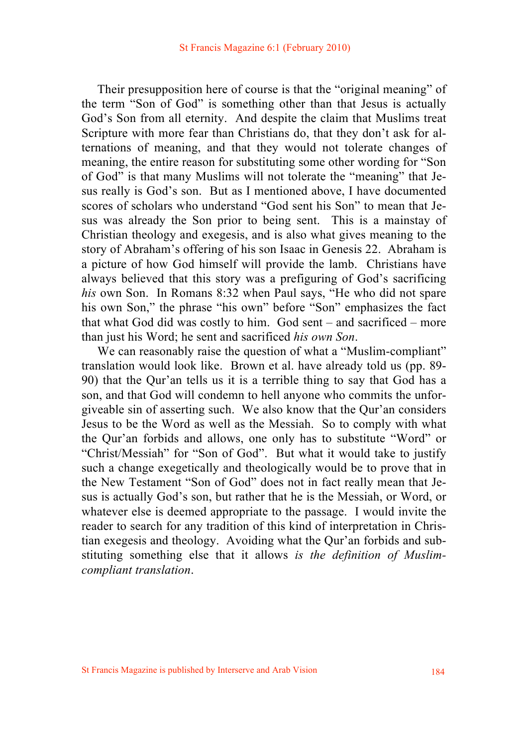Their presupposition here of course is that the "original meaning" of the term "Son of God" is something other than that Jesus is actually God's Son from all eternity. And despite the claim that Muslims treat Scripture with more fear than Christians do, that they don't ask for alternations of meaning, and that they would not tolerate changes of meaning, the entire reason for substituting some other wording for "Son of God" is that many Muslims will not tolerate the "meaning" that Jesus really is God's son. But as I mentioned above, I have documented scores of scholars who understand "God sent his Son" to mean that Jesus was already the Son prior to being sent. This is a mainstay of Christian theology and exegesis, and is also what gives meaning to the story of Abraham's offering of his son Isaac in Genesis 22. Abraham is a picture of how God himself will provide the lamb. Christians have always believed that this story was a prefiguring of God's sacrificing *his* own Son. In Romans 8:32 when Paul says, "He who did not spare his own Son," the phrase "his own" before "Son" emphasizes the fact that what God did was costly to him. God sent – and sacrificed – more than just his Word; he sent and sacrificed *his own Son*.

We can reasonably raise the question of what a "Muslim-compliant" translation would look like. Brown et al. have already told us (pp. 89- 90) that the Qur'an tells us it is a terrible thing to say that God has a son, and that God will condemn to hell anyone who commits the unforgiveable sin of asserting such. We also know that the Qur'an considers Jesus to be the Word as well as the Messiah. So to comply with what the Qur'an forbids and allows, one only has to substitute "Word" or "Christ/Messiah" for "Son of God". But what it would take to justify such a change exegetically and theologically would be to prove that in the New Testament "Son of God" does not in fact really mean that Jesus is actually God's son, but rather that he is the Messiah, or Word, or whatever else is deemed appropriate to the passage. I would invite the reader to search for any tradition of this kind of interpretation in Christian exegesis and theology. Avoiding what the Qur'an forbids and substituting something else that it allows *is the definition of Muslimcompliant translation*.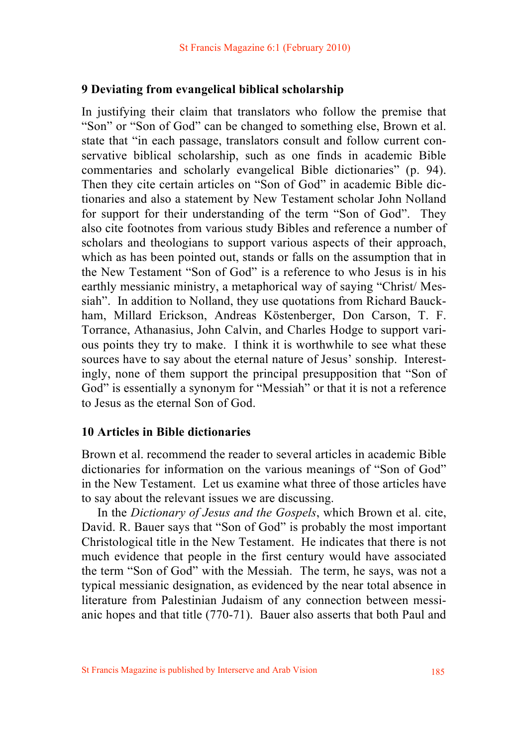#### **9 Deviating from evangelical biblical scholarship**

In justifying their claim that translators who follow the premise that "Son" or "Son of God" can be changed to something else, Brown et al. state that "in each passage, translators consult and follow current conservative biblical scholarship, such as one finds in academic Bible commentaries and scholarly evangelical Bible dictionaries" (p. 94). Then they cite certain articles on "Son of God" in academic Bible dictionaries and also a statement by New Testament scholar John Nolland for support for their understanding of the term "Son of God". They also cite footnotes from various study Bibles and reference a number of scholars and theologians to support various aspects of their approach, which as has been pointed out, stands or falls on the assumption that in the New Testament "Son of God" is a reference to who Jesus is in his earthly messianic ministry, a metaphorical way of saying "Christ/ Messiah". In addition to Nolland, they use quotations from Richard Bauckham, Millard Erickson, Andreas Köstenberger, Don Carson, T. F. Torrance, Athanasius, John Calvin, and Charles Hodge to support various points they try to make. I think it is worthwhile to see what these sources have to say about the eternal nature of Jesus' sonship. Interestingly, none of them support the principal presupposition that "Son of God" is essentially a synonym for "Messiah" or that it is not a reference to Jesus as the eternal Son of God.

#### **10 Articles in Bible dictionaries**

Brown et al. recommend the reader to several articles in academic Bible dictionaries for information on the various meanings of "Son of God" in the New Testament. Let us examine what three of those articles have to say about the relevant issues we are discussing.

 In the *Dictionary of Jesus and the Gospels*, which Brown et al. cite, David. R. Bauer says that "Son of God" is probably the most important Christological title in the New Testament. He indicates that there is not much evidence that people in the first century would have associated the term "Son of God" with the Messiah. The term, he says, was not a typical messianic designation, as evidenced by the near total absence in literature from Palestinian Judaism of any connection between messianic hopes and that title (770-71). Bauer also asserts that both Paul and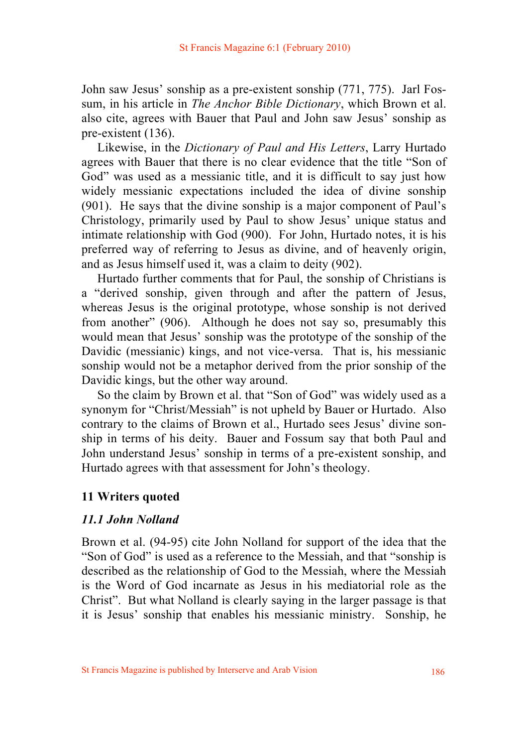John saw Jesus' sonship as a pre-existent sonship (771, 775). Jarl Fossum, in his article in *The Anchor Bible Dictionary*, which Brown et al. also cite, agrees with Bauer that Paul and John saw Jesus' sonship as pre-existent (136).

 Likewise, in the *Dictionary of Paul and His Letters*, Larry Hurtado agrees with Bauer that there is no clear evidence that the title "Son of God" was used as a messianic title, and it is difficult to say just how widely messianic expectations included the idea of divine sonship (901). He says that the divine sonship is a major component of Paul's Christology, primarily used by Paul to show Jesus' unique status and intimate relationship with God (900). For John, Hurtado notes, it is his preferred way of referring to Jesus as divine, and of heavenly origin, and as Jesus himself used it, was a claim to deity (902).

 Hurtado further comments that for Paul, the sonship of Christians is a "derived sonship, given through and after the pattern of Jesus, whereas Jesus is the original prototype, whose sonship is not derived from another" (906). Although he does not say so, presumably this would mean that Jesus' sonship was the prototype of the sonship of the Davidic (messianic) kings, and not vice-versa. That is, his messianic sonship would not be a metaphor derived from the prior sonship of the Davidic kings, but the other way around.

 So the claim by Brown et al. that "Son of God" was widely used as a synonym for "Christ/Messiah" is not upheld by Bauer or Hurtado. Also contrary to the claims of Brown et al., Hurtado sees Jesus' divine sonship in terms of his deity. Bauer and Fossum say that both Paul and John understand Jesus' sonship in terms of a pre-existent sonship, and Hurtado agrees with that assessment for John's theology.

### **11 Writers quoted**

### *11.1 John Nolland*

Brown et al. (94-95) cite John Nolland for support of the idea that the "Son of God" is used as a reference to the Messiah, and that "sonship is described as the relationship of God to the Messiah, where the Messiah is the Word of God incarnate as Jesus in his mediatorial role as the Christ". But what Nolland is clearly saying in the larger passage is that it is Jesus' sonship that enables his messianic ministry. Sonship, he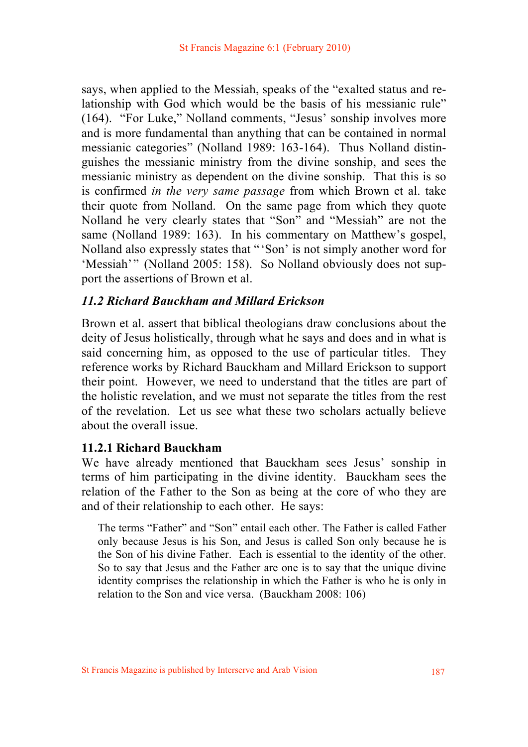says, when applied to the Messiah, speaks of the "exalted status and relationship with God which would be the basis of his messianic rule" (164). "For Luke," Nolland comments, "Jesus' sonship involves more and is more fundamental than anything that can be contained in normal messianic categories" (Nolland 1989: 163-164). Thus Nolland distinguishes the messianic ministry from the divine sonship, and sees the messianic ministry as dependent on the divine sonship. That this is so is confirmed *in the very same passage* from which Brown et al. take their quote from Nolland. On the same page from which they quote Nolland he very clearly states that "Son" and "Messiah" are not the same (Nolland 1989: 163). In his commentary on Matthew's gospel, Nolland also expressly states that "'Son' is not simply another word for 'Messiah'" (Nolland 2005: 158). So Nolland obviously does not support the assertions of Brown et al.

### *11.2 Richard Bauckham and Millard Erickson*

Brown et al. assert that biblical theologians draw conclusions about the deity of Jesus holistically, through what he says and does and in what is said concerning him, as opposed to the use of particular titles. They reference works by Richard Bauckham and Millard Erickson to support their point. However, we need to understand that the titles are part of the holistic revelation, and we must not separate the titles from the rest of the revelation. Let us see what these two scholars actually believe about the overall issue.

### **11.2.1 Richard Bauckham**

We have already mentioned that Bauckham sees Jesus' sonship in terms of him participating in the divine identity. Bauckham sees the relation of the Father to the Son as being at the core of who they are and of their relationship to each other. He says:

The terms "Father" and "Son" entail each other. The Father is called Father only because Jesus is his Son, and Jesus is called Son only because he is the Son of his divine Father. Each is essential to the identity of the other. So to say that Jesus and the Father are one is to say that the unique divine identity comprises the relationship in which the Father is who he is only in relation to the Son and vice versa. (Bauckham 2008: 106)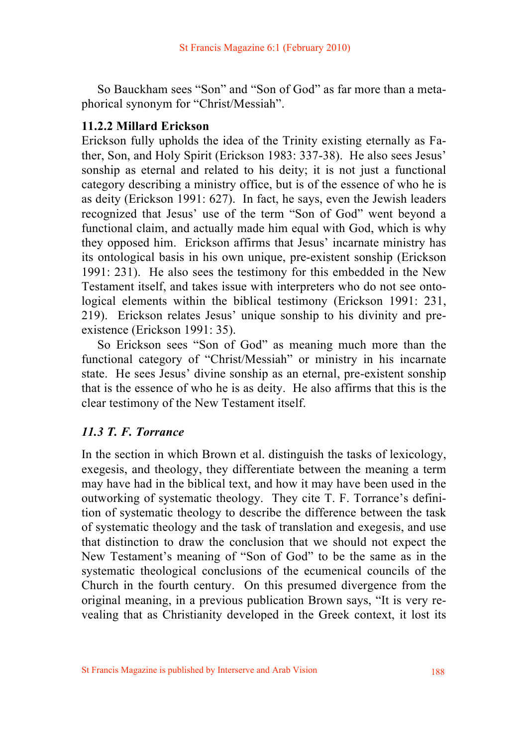So Bauckham sees "Son" and "Son of God" as far more than a metaphorical synonym for "Christ/Messiah".

# **11.2.2 Millard Erickson**

Erickson fully upholds the idea of the Trinity existing eternally as Father, Son, and Holy Spirit (Erickson 1983: 337-38). He also sees Jesus' sonship as eternal and related to his deity; it is not just a functional category describing a ministry office, but is of the essence of who he is as deity (Erickson 1991: 627). In fact, he says, even the Jewish leaders recognized that Jesus' use of the term "Son of God" went beyond a functional claim, and actually made him equal with God, which is why they opposed him. Erickson affirms that Jesus' incarnate ministry has its ontological basis in his own unique, pre-existent sonship (Erickson 1991: 231). He also sees the testimony for this embedded in the New Testament itself, and takes issue with interpreters who do not see ontological elements within the biblical testimony (Erickson 1991: 231, 219). Erickson relates Jesus' unique sonship to his divinity and preexistence (Erickson 1991: 35).

 So Erickson sees "Son of God" as meaning much more than the functional category of "Christ/Messiah" or ministry in his incarnate state. He sees Jesus' divine sonship as an eternal, pre-existent sonship that is the essence of who he is as deity. He also affirms that this is the clear testimony of the New Testament itself.

# *11.3 T. F. Torrance*

In the section in which Brown et al. distinguish the tasks of lexicology, exegesis, and theology, they differentiate between the meaning a term may have had in the biblical text, and how it may have been used in the outworking of systematic theology. They cite T. F. Torrance's definition of systematic theology to describe the difference between the task of systematic theology and the task of translation and exegesis, and use that distinction to draw the conclusion that we should not expect the New Testament's meaning of "Son of God" to be the same as in the systematic theological conclusions of the ecumenical councils of the Church in the fourth century. On this presumed divergence from the original meaning, in a previous publication Brown says, "It is very revealing that as Christianity developed in the Greek context, it lost its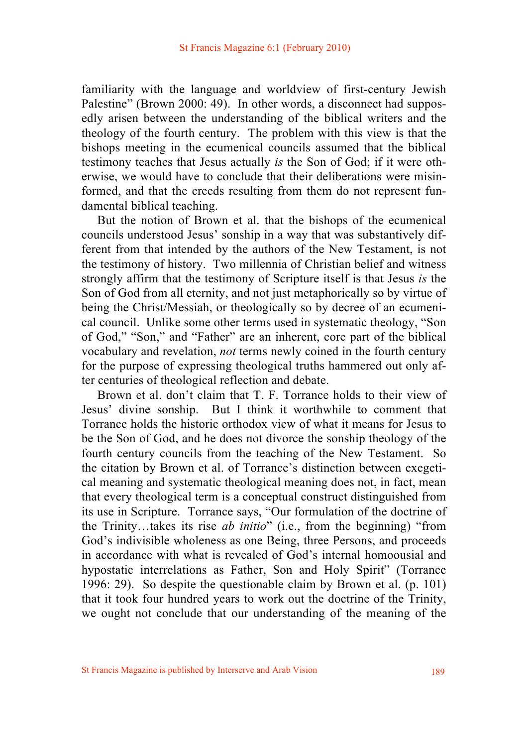familiarity with the language and worldview of first-century Jewish Palestine" (Brown 2000: 49). In other words, a disconnect had supposedly arisen between the understanding of the biblical writers and the theology of the fourth century. The problem with this view is that the bishops meeting in the ecumenical councils assumed that the biblical testimony teaches that Jesus actually *is* the Son of God; if it were otherwise, we would have to conclude that their deliberations were misinformed, and that the creeds resulting from them do not represent fundamental biblical teaching.

 But the notion of Brown et al. that the bishops of the ecumenical councils understood Jesus' sonship in a way that was substantively different from that intended by the authors of the New Testament, is not the testimony of history. Two millennia of Christian belief and witness strongly affirm that the testimony of Scripture itself is that Jesus *is* the Son of God from all eternity, and not just metaphorically so by virtue of being the Christ/Messiah, or theologically so by decree of an ecumenical council. Unlike some other terms used in systematic theology, "Son of God," "Son," and "Father" are an inherent, core part of the biblical vocabulary and revelation, *not* terms newly coined in the fourth century for the purpose of expressing theological truths hammered out only after centuries of theological reflection and debate.

 Brown et al. don't claim that T. F. Torrance holds to their view of Jesus' divine sonship. But I think it worthwhile to comment that Torrance holds the historic orthodox view of what it means for Jesus to be the Son of God, and he does not divorce the sonship theology of the fourth century councils from the teaching of the New Testament. So the citation by Brown et al. of Torrance's distinction between exegetical meaning and systematic theological meaning does not, in fact, mean that every theological term is a conceptual construct distinguished from its use in Scripture. Torrance says, "Our formulation of the doctrine of the Trinity…takes its rise *ab initio*" (i.e., from the beginning) "from God's indivisible wholeness as one Being, three Persons, and proceeds in accordance with what is revealed of God's internal homoousial and hypostatic interrelations as Father, Son and Holy Spirit" (Torrance 1996: 29). So despite the questionable claim by Brown et al. (p. 101) that it took four hundred years to work out the doctrine of the Trinity, we ought not conclude that our understanding of the meaning of the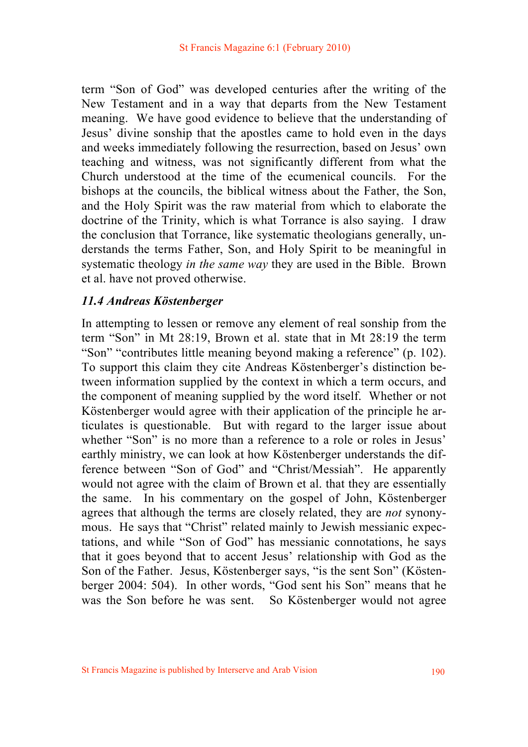term "Son of God" was developed centuries after the writing of the New Testament and in a way that departs from the New Testament meaning. We have good evidence to believe that the understanding of Jesus' divine sonship that the apostles came to hold even in the days and weeks immediately following the resurrection, based on Jesus' own teaching and witness, was not significantly different from what the Church understood at the time of the ecumenical councils. For the bishops at the councils, the biblical witness about the Father, the Son, and the Holy Spirit was the raw material from which to elaborate the doctrine of the Trinity, which is what Torrance is also saying. I draw the conclusion that Torrance, like systematic theologians generally, understands the terms Father, Son, and Holy Spirit to be meaningful in systematic theology *in the same way* they are used in the Bible. Brown et al. have not proved otherwise.

### *11.4 Andreas Köstenberger*

In attempting to lessen or remove any element of real sonship from the term "Son" in Mt 28:19, Brown et al. state that in Mt 28:19 the term "Son" "contributes little meaning beyond making a reference" (p. 102). To support this claim they cite Andreas Köstenberger's distinction between information supplied by the context in which a term occurs, and the component of meaning supplied by the word itself. Whether or not Köstenberger would agree with their application of the principle he articulates is questionable. But with regard to the larger issue about whether "Son" is no more than a reference to a role or roles in Jesus' earthly ministry, we can look at how Köstenberger understands the difference between "Son of God" and "Christ/Messiah". He apparently would not agree with the claim of Brown et al. that they are essentially the same. In his commentary on the gospel of John, Köstenberger agrees that although the terms are closely related, they are *not* synonymous. He says that "Christ" related mainly to Jewish messianic expectations, and while "Son of God" has messianic connotations, he says that it goes beyond that to accent Jesus' relationship with God as the Son of the Father. Jesus, Köstenberger says, "is the sent Son" (Köstenberger 2004: 504). In other words, "God sent his Son" means that he was the Son before he was sent. So Köstenberger would not agree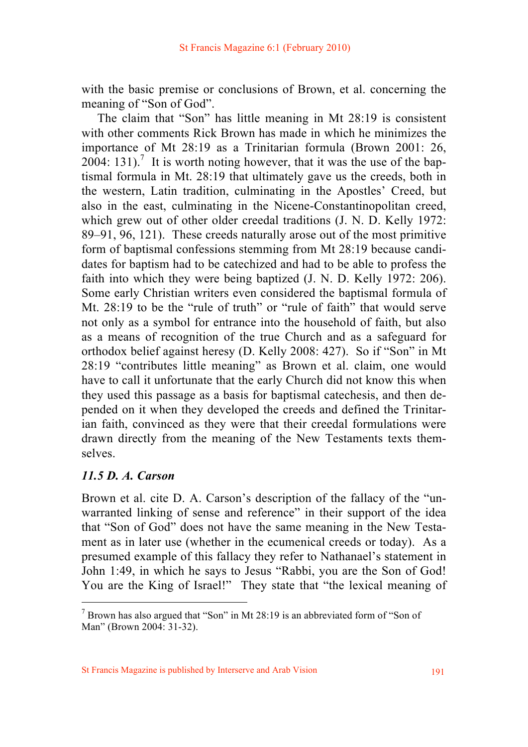with the basic premise or conclusions of Brown, et al. concerning the meaning of "Son of God".

 The claim that "Son" has little meaning in Mt 28:19 is consistent with other comments Rick Brown has made in which he minimizes the importance of Mt 28:19 as a Trinitarian formula (Brown 2001: 26,  $2004$ : 131).<sup>7</sup> It is worth noting however, that it was the use of the baptismal formula in Mt. 28:19 that ultimately gave us the creeds, both in the western, Latin tradition, culminating in the Apostles' Creed, but also in the east, culminating in the Nicene-Constantinopolitan creed, which grew out of other older creedal traditions (J. N. D. Kelly 1972: 89–91, 96, 121). These creeds naturally arose out of the most primitive form of baptismal confessions stemming from Mt 28:19 because candidates for baptism had to be catechized and had to be able to profess the faith into which they were being baptized (J. N. D. Kelly 1972: 206). Some early Christian writers even considered the baptismal formula of Mt. 28:19 to be the "rule of truth" or "rule of faith" that would serve not only as a symbol for entrance into the household of faith, but also as a means of recognition of the true Church and as a safeguard for orthodox belief against heresy (D. Kelly 2008: 427). So if "Son" in Mt 28:19 "contributes little meaning" as Brown et al. claim, one would have to call it unfortunate that the early Church did not know this when they used this passage as a basis for baptismal catechesis, and then depended on it when they developed the creeds and defined the Trinitarian faith, convinced as they were that their creedal formulations were drawn directly from the meaning of the New Testaments texts themselves.

### *11.5 D. A. Carson*

Brown et al. cite D. A. Carson's description of the fallacy of the "unwarranted linking of sense and reference" in their support of the idea that "Son of God" does not have the same meaning in the New Testament as in later use (whether in the ecumenical creeds or today). As a presumed example of this fallacy they refer to Nathanael's statement in John 1:49, in which he says to Jesus "Rabbi, you are the Son of God! You are the King of Israel!" They state that "the lexical meaning of

 $7$  Brown has also argued that "Son" in Mt 28:19 is an abbreviated form of "Son of Man" (Brown 2004: 31-32).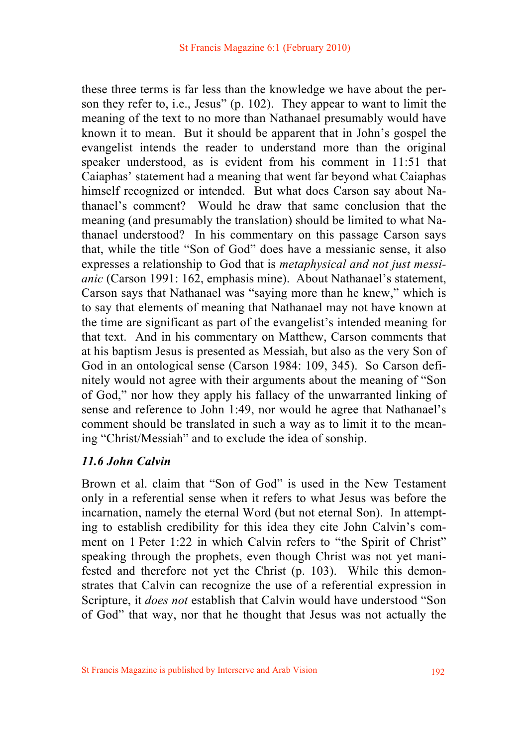these three terms is far less than the knowledge we have about the person they refer to, i.e., Jesus" (p. 102). They appear to want to limit the meaning of the text to no more than Nathanael presumably would have known it to mean. But it should be apparent that in John's gospel the evangelist intends the reader to understand more than the original speaker understood, as is evident from his comment in 11:51 that Caiaphas' statement had a meaning that went far beyond what Caiaphas himself recognized or intended. But what does Carson say about Nathanael's comment? Would he draw that same conclusion that the meaning (and presumably the translation) should be limited to what Nathanael understood? In his commentary on this passage Carson says that, while the title "Son of God" does have a messianic sense, it also expresses a relationship to God that is *metaphysical and not just messianic* (Carson 1991: 162, emphasis mine). About Nathanael's statement, Carson says that Nathanael was "saying more than he knew," which is to say that elements of meaning that Nathanael may not have known at the time are significant as part of the evangelist's intended meaning for that text. And in his commentary on Matthew, Carson comments that at his baptism Jesus is presented as Messiah, but also as the very Son of God in an ontological sense (Carson 1984: 109, 345). So Carson definitely would not agree with their arguments about the meaning of "Son of God," nor how they apply his fallacy of the unwarranted linking of sense and reference to John 1:49, nor would he agree that Nathanael's comment should be translated in such a way as to limit it to the meaning "Christ/Messiah" and to exclude the idea of sonship.

### *11.6 John Calvin*

Brown et al. claim that "Son of God" is used in the New Testament only in a referential sense when it refers to what Jesus was before the incarnation, namely the eternal Word (but not eternal Son). In attempting to establish credibility for this idea they cite John Calvin's comment on 1 Peter 1:22 in which Calvin refers to "the Spirit of Christ" speaking through the prophets, even though Christ was not yet manifested and therefore not yet the Christ (p. 103). While this demonstrates that Calvin can recognize the use of a referential expression in Scripture, it *does not* establish that Calvin would have understood "Son of God" that way, nor that he thought that Jesus was not actually the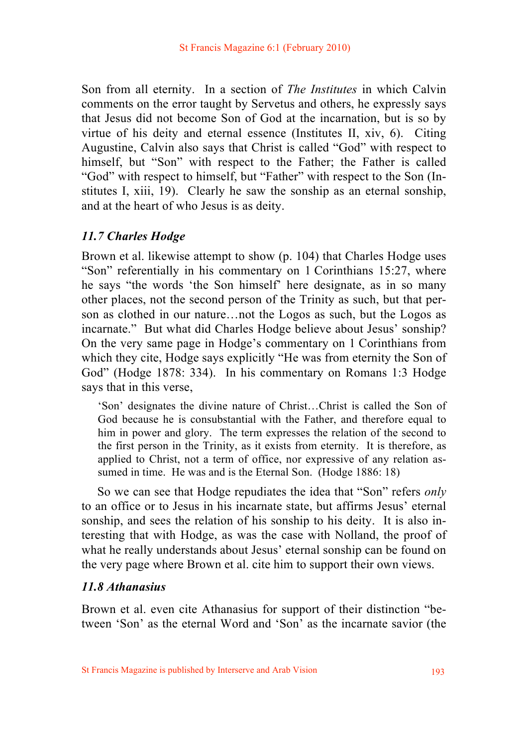Son from all eternity. In a section of *The Institutes* in which Calvin comments on the error taught by Servetus and others, he expressly says that Jesus did not become Son of God at the incarnation, but is so by virtue of his deity and eternal essence (Institutes II, xiv, 6). Citing Augustine, Calvin also says that Christ is called "God" with respect to himself, but "Son" with respect to the Father; the Father is called "God" with respect to himself, but "Father" with respect to the Son (Institutes I, xiii, 19). Clearly he saw the sonship as an eternal sonship, and at the heart of who Jesus is as deity.

### *11.7 Charles Hodge*

Brown et al. likewise attempt to show (p. 104) that Charles Hodge uses "Son" referentially in his commentary on 1 Corinthians 15:27, where he says "the words 'the Son himself' here designate, as in so many other places, not the second person of the Trinity as such, but that person as clothed in our nature…not the Logos as such, but the Logos as incarnate." But what did Charles Hodge believe about Jesus' sonship? On the very same page in Hodge's commentary on 1 Corinthians from which they cite, Hodge says explicitly "He was from eternity the Son of God" (Hodge 1878: 334). In his commentary on Romans 1:3 Hodge says that in this verse,

'Son' designates the divine nature of Christ…Christ is called the Son of God because he is consubstantial with the Father, and therefore equal to him in power and glory. The term expresses the relation of the second to the first person in the Trinity, as it exists from eternity. It is therefore, as applied to Christ, not a term of office, nor expressive of any relation assumed in time. He was and is the Eternal Son. (Hodge 1886: 18)

 So we can see that Hodge repudiates the idea that "Son" refers *only* to an office or to Jesus in his incarnate state, but affirms Jesus' eternal sonship, and sees the relation of his sonship to his deity. It is also interesting that with Hodge, as was the case with Nolland, the proof of what he really understands about Jesus' eternal sonship can be found on the very page where Brown et al. cite him to support their own views.

### *11.8 Athanasius*

Brown et al. even cite Athanasius for support of their distinction "between 'Son' as the eternal Word and 'Son' as the incarnate savior (the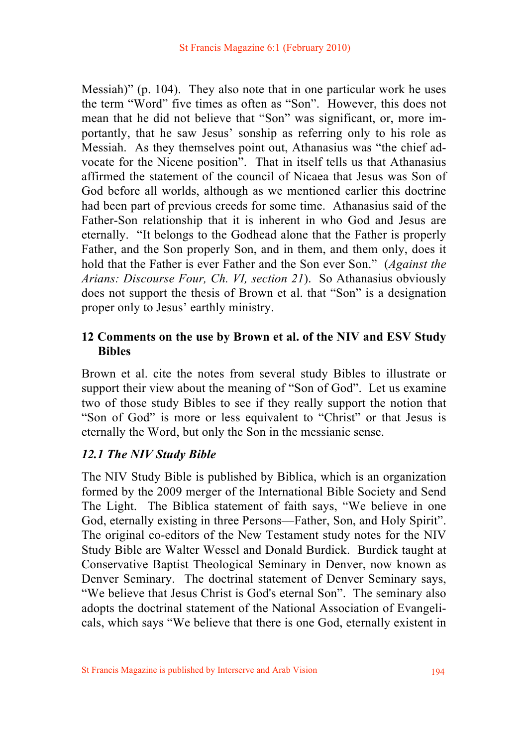Messiah)" (p. 104). They also note that in one particular work he uses the term "Word" five times as often as "Son". However, this does not mean that he did not believe that "Son" was significant, or, more importantly, that he saw Jesus' sonship as referring only to his role as Messiah. As they themselves point out, Athanasius was "the chief advocate for the Nicene position". That in itself tells us that Athanasius affirmed the statement of the council of Nicaea that Jesus was Son of God before all worlds, although as we mentioned earlier this doctrine had been part of previous creeds for some time. Athanasius said of the Father-Son relationship that it is inherent in who God and Jesus are eternally. "It belongs to the Godhead alone that the Father is properly Father, and the Son properly Son, and in them, and them only, does it hold that the Father is ever Father and the Son ever Son." (*Against the Arians: Discourse Four, Ch. VI, section 21*). So Athanasius obviously does not support the thesis of Brown et al. that "Son" is a designation proper only to Jesus' earthly ministry.

# **12 Comments on the use by Brown et al. of the NIV and ESV Study Bibles**

Brown et al. cite the notes from several study Bibles to illustrate or support their view about the meaning of "Son of God". Let us examine two of those study Bibles to see if they really support the notion that "Son of God" is more or less equivalent to "Christ" or that Jesus is eternally the Word, but only the Son in the messianic sense.

### *12.1 The NIV Study Bible*

The NIV Study Bible is published by Biblica, which is an organization formed by the 2009 merger of the International Bible Society and Send The Light. The Biblica statement of faith says, "We believe in one God, eternally existing in three Persons—Father, Son, and Holy Spirit". The original co-editors of the New Testament study notes for the NIV Study Bible are Walter Wessel and Donald Burdick. Burdick taught at Conservative Baptist Theological Seminary in Denver, now known as Denver Seminary. The doctrinal statement of Denver Seminary says, "We believe that Jesus Christ is God's eternal Son". The seminary also adopts the doctrinal statement of the National Association of Evangelicals, which says "We believe that there is one God, eternally existent in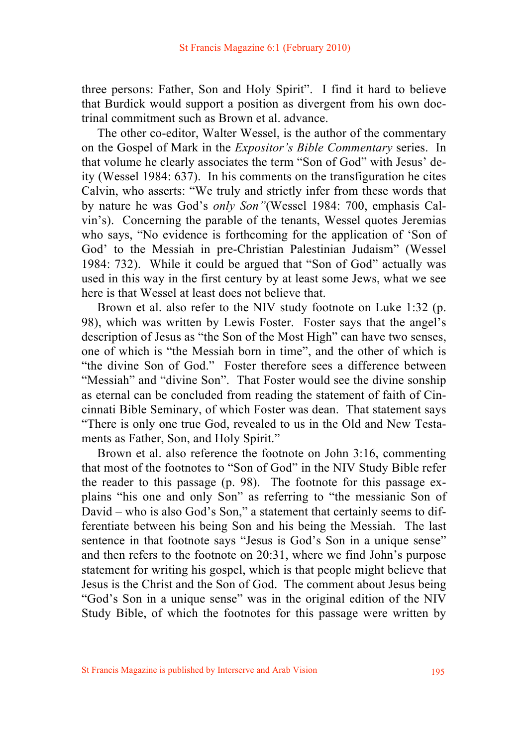three persons: Father, Son and Holy Spirit". I find it hard to believe that Burdick would support a position as divergent from his own doctrinal commitment such as Brown et al. advance.

 The other co-editor, Walter Wessel, is the author of the commentary on the Gospel of Mark in the *Expositor's Bible Commentary* series. In that volume he clearly associates the term "Son of God" with Jesus' deity (Wessel 1984: 637). In his comments on the transfiguration he cites Calvin, who asserts: "We truly and strictly infer from these words that by nature he was God's *only Son"*(Wessel 1984: 700, emphasis Calvin's). Concerning the parable of the tenants, Wessel quotes Jeremias who says, "No evidence is forthcoming for the application of 'Son of God' to the Messiah in pre-Christian Palestinian Judaism" (Wessel 1984: 732). While it could be argued that "Son of God" actually was used in this way in the first century by at least some Jews, what we see here is that Wessel at least does not believe that.

 Brown et al. also refer to the NIV study footnote on Luke 1:32 (p. 98), which was written by Lewis Foster. Foster says that the angel's description of Jesus as "the Son of the Most High" can have two senses, one of which is "the Messiah born in time", and the other of which is "the divine Son of God." Foster therefore sees a difference between "Messiah" and "divine Son". That Foster would see the divine sonship as eternal can be concluded from reading the statement of faith of Cincinnati Bible Seminary, of which Foster was dean. That statement says "There is only one true God, revealed to us in the Old and New Testaments as Father, Son, and Holy Spirit."

 Brown et al. also reference the footnote on John 3:16, commenting that most of the footnotes to "Son of God" in the NIV Study Bible refer the reader to this passage (p. 98). The footnote for this passage explains "his one and only Son" as referring to "the messianic Son of David – who is also God's Son," a statement that certainly seems to differentiate between his being Son and his being the Messiah. The last sentence in that footnote says "Jesus is God's Son in a unique sense" and then refers to the footnote on 20:31, where we find John's purpose statement for writing his gospel, which is that people might believe that Jesus is the Christ and the Son of God. The comment about Jesus being "God's Son in a unique sense" was in the original edition of the NIV Study Bible, of which the footnotes for this passage were written by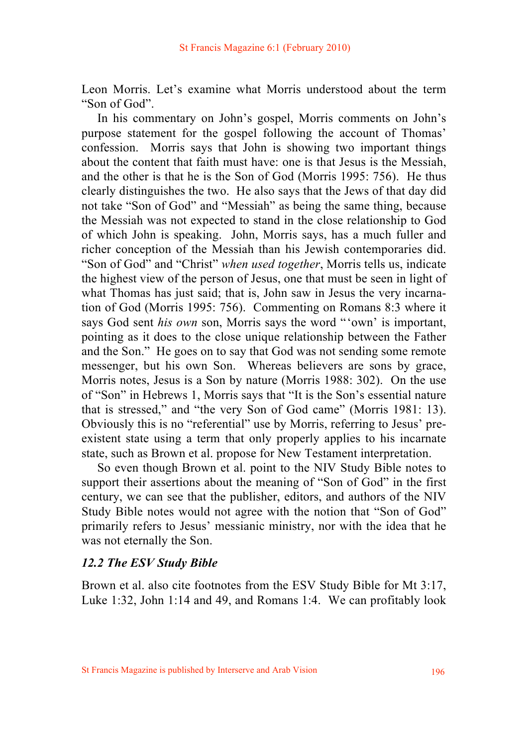Leon Morris. Let's examine what Morris understood about the term "Son of God".

 In his commentary on John's gospel, Morris comments on John's purpose statement for the gospel following the account of Thomas' confession. Morris says that John is showing two important things about the content that faith must have: one is that Jesus is the Messiah, and the other is that he is the Son of God (Morris 1995: 756). He thus clearly distinguishes the two. He also says that the Jews of that day did not take "Son of God" and "Messiah" as being the same thing, because the Messiah was not expected to stand in the close relationship to God of which John is speaking. John, Morris says, has a much fuller and richer conception of the Messiah than his Jewish contemporaries did. "Son of God" and "Christ" *when used together*, Morris tells us, indicate the highest view of the person of Jesus, one that must be seen in light of what Thomas has just said; that is, John saw in Jesus the very incarnation of God (Morris 1995: 756). Commenting on Romans 8:3 where it says God sent *his own* son, Morris says the word "'own' is important, pointing as it does to the close unique relationship between the Father and the Son." He goes on to say that God was not sending some remote messenger, but his own Son. Whereas believers are sons by grace, Morris notes, Jesus is a Son by nature (Morris 1988: 302). On the use of "Son" in Hebrews 1, Morris says that "It is the Son's essential nature that is stressed," and "the very Son of God came" (Morris 1981: 13). Obviously this is no "referential" use by Morris, referring to Jesus' preexistent state using a term that only properly applies to his incarnate state, such as Brown et al. propose for New Testament interpretation.

 So even though Brown et al. point to the NIV Study Bible notes to support their assertions about the meaning of "Son of God" in the first century, we can see that the publisher, editors, and authors of the NIV Study Bible notes would not agree with the notion that "Son of God" primarily refers to Jesus' messianic ministry, nor with the idea that he was not eternally the Son.

#### *12.2 The ESV Study Bible*

Brown et al. also cite footnotes from the ESV Study Bible for Mt 3:17, Luke 1:32, John 1:14 and 49, and Romans 1:4. We can profitably look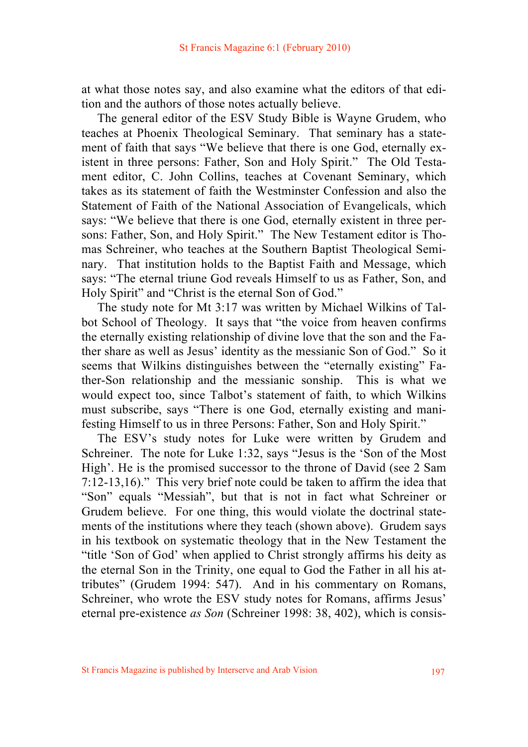at what those notes say, and also examine what the editors of that edition and the authors of those notes actually believe.

 The general editor of the ESV Study Bible is Wayne Grudem, who teaches at Phoenix Theological Seminary. That seminary has a statement of faith that says "We believe that there is one God, eternally existent in three persons: Father, Son and Holy Spirit." The Old Testament editor, C. John Collins, teaches at Covenant Seminary, which takes as its statement of faith the Westminster Confession and also the Statement of Faith of the National Association of Evangelicals, which says: "We believe that there is one God, eternally existent in three persons: Father, Son, and Holy Spirit." The New Testament editor is Thomas Schreiner, who teaches at the Southern Baptist Theological Seminary. That institution holds to the Baptist Faith and Message, which says: "The eternal triune God reveals Himself to us as Father, Son, and Holy Spirit" and "Christ is the eternal Son of God."

 The study note for Mt 3:17 was written by Michael Wilkins of Talbot School of Theology. It says that "the voice from heaven confirms the eternally existing relationship of divine love that the son and the Father share as well as Jesus' identity as the messianic Son of God." So it seems that Wilkins distinguishes between the "eternally existing" Father-Son relationship and the messianic sonship. This is what we would expect too, since Talbot's statement of faith, to which Wilkins must subscribe, says "There is one God, eternally existing and manifesting Himself to us in three Persons: Father, Son and Holy Spirit."

 The ESV's study notes for Luke were written by Grudem and Schreiner. The note for Luke 1:32, says "Jesus is the 'Son of the Most High'. He is the promised successor to the throne of David (see 2 Sam 7:12-13,16)." This very brief note could be taken to affirm the idea that "Son" equals "Messiah", but that is not in fact what Schreiner or Grudem believe. For one thing, this would violate the doctrinal statements of the institutions where they teach (shown above). Grudem says in his textbook on systematic theology that in the New Testament the "title 'Son of God' when applied to Christ strongly affirms his deity as the eternal Son in the Trinity, one equal to God the Father in all his attributes" (Grudem 1994: 547). And in his commentary on Romans, Schreiner, who wrote the ESV study notes for Romans, affirms Jesus' eternal pre-existence *as Son* (Schreiner 1998: 38, 402), which is consis-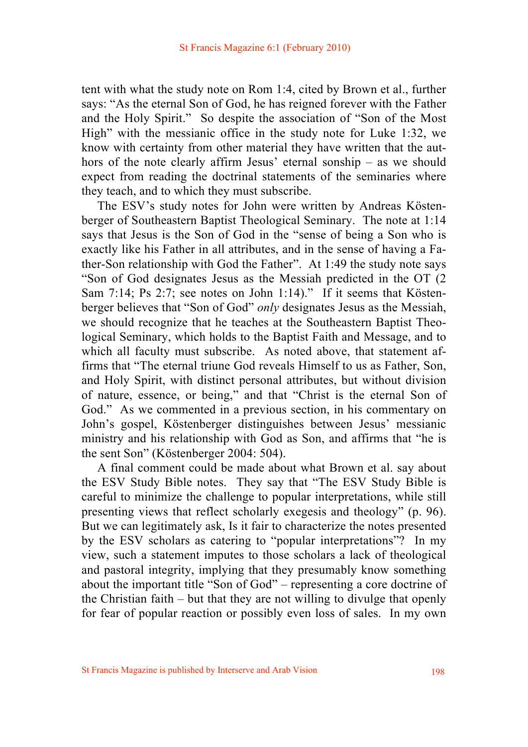tent with what the study note on Rom 1:4, cited by Brown et al., further says: "As the eternal Son of God, he has reigned forever with the Father and the Holy Spirit." So despite the association of "Son of the Most High" with the messianic office in the study note for Luke 1:32, we know with certainty from other material they have written that the authors of the note clearly affirm Jesus' eternal sonship – as we should expect from reading the doctrinal statements of the seminaries where they teach, and to which they must subscribe.

 The ESV's study notes for John were written by Andreas Köstenberger of Southeastern Baptist Theological Seminary. The note at 1:14 says that Jesus is the Son of God in the "sense of being a Son who is exactly like his Father in all attributes, and in the sense of having a Father-Son relationship with God the Father". At 1:49 the study note says "Son of God designates Jesus as the Messiah predicted in the OT (2 Sam 7:14; Ps 2:7; see notes on John 1:14)." If it seems that Köstenberger believes that "Son of God" *only* designates Jesus as the Messiah, we should recognize that he teaches at the Southeastern Baptist Theological Seminary, which holds to the Baptist Faith and Message, and to which all faculty must subscribe. As noted above, that statement affirms that "The eternal triune God reveals Himself to us as Father, Son, and Holy Spirit, with distinct personal attributes, but without division of nature, essence, or being," and that "Christ is the eternal Son of God." As we commented in a previous section, in his commentary on John's gospel, Köstenberger distinguishes between Jesus' messianic ministry and his relationship with God as Son, and affirms that "he is the sent Son" (Köstenberger 2004: 504).

 A final comment could be made about what Brown et al. say about the ESV Study Bible notes. They say that "The ESV Study Bible is careful to minimize the challenge to popular interpretations, while still presenting views that reflect scholarly exegesis and theology" (p. 96). But we can legitimately ask, Is it fair to characterize the notes presented by the ESV scholars as catering to "popular interpretations"? In my view, such a statement imputes to those scholars a lack of theological and pastoral integrity, implying that they presumably know something about the important title "Son of God" – representing a core doctrine of the Christian faith – but that they are not willing to divulge that openly for fear of popular reaction or possibly even loss of sales. In my own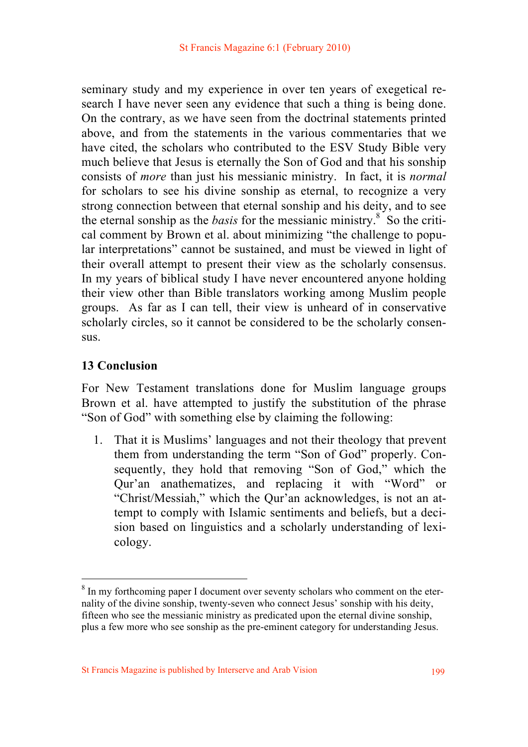seminary study and my experience in over ten years of exegetical research I have never seen any evidence that such a thing is being done. On the contrary, as we have seen from the doctrinal statements printed above, and from the statements in the various commentaries that we have cited, the scholars who contributed to the ESV Study Bible very much believe that Jesus is eternally the Son of God and that his sonship consists of *more* than just his messianic ministry. In fact, it is *normal* for scholars to see his divine sonship as eternal, to recognize a very strong connection between that eternal sonship and his deity, and to see the eternal sonship as the *basis* for the messianic ministry.<sup>8</sup> So the critical comment by Brown et al. about minimizing "the challenge to popular interpretations" cannot be sustained, and must be viewed in light of their overall attempt to present their view as the scholarly consensus. In my years of biblical study I have never encountered anyone holding their view other than Bible translators working among Muslim people groups. As far as I can tell, their view is unheard of in conservative scholarly circles, so it cannot be considered to be the scholarly consensus.

# **13 Conclusion**

For New Testament translations done for Muslim language groups Brown et al. have attempted to justify the substitution of the phrase "Son of God" with something else by claiming the following:

1. That it is Muslims' languages and not their theology that prevent them from understanding the term "Son of God" properly. Consequently, they hold that removing "Son of God," which the Qur'an anathematizes, and replacing it with "Word" or "Christ/Messiah," which the Qur'an acknowledges, is not an attempt to comply with Islamic sentiments and beliefs, but a decision based on linguistics and a scholarly understanding of lexicology.

<sup>&</sup>lt;sup>8</sup> In my forthcoming paper I document over seventy scholars who comment on the eternality of the divine sonship, twenty-seven who connect Jesus' sonship with his deity, fifteen who see the messianic ministry as predicated upon the eternal divine sonship, plus a few more who see sonship as the pre-eminent category for understanding Jesus.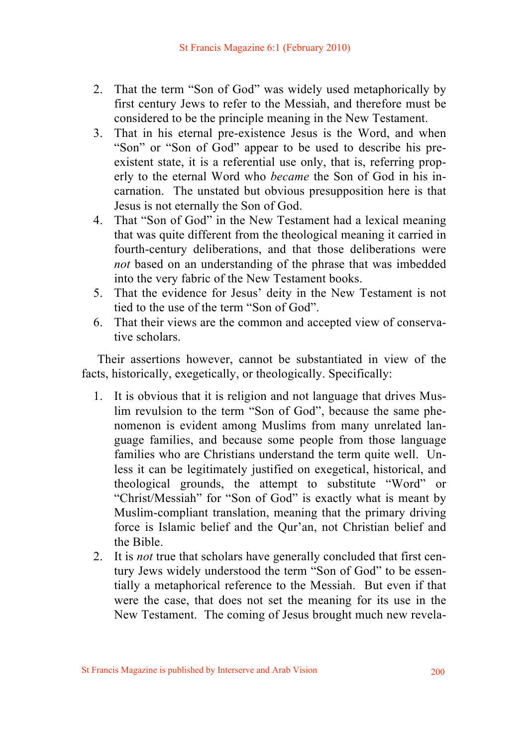- 2. That the term "Son of God" was widely used metaphorically by first century Jews to refer to the Messiah, and therefore must be considered to be the principle meaning in the New Testament.
- 3. That in his eternal pre-existence Jesus is the Word, and when "Son" or "Son of God" appear to be used to describe his preexistent state, it is a referential use only, that is, referring properly to the eternal Word who *became* the Son of God in his incarnation. The unstated but obvious presupposition here is that Jesus is not eternally the Son of God.
- 4. That "Son of God" in the New Testament had a lexical meaning that was quite different from the theological meaning it carried in fourth-century deliberations, and that those deliberations were *not* based on an understanding of the phrase that was imbedded into the very fabric of the New Testament books.
- 5. That the evidence for Jesus' deity in the New Testament is not tied to the use of the term "Son of God".
- 6. That their views are the common and accepted view of conservative scholars.

 Their assertions however, cannot be substantiated in view of the facts, historically, exegetically, or theologically. Specifically:

- 1. It is obvious that it is religion and not language that drives Muslim revulsion to the term "Son of God", because the same phenomenon is evident among Muslims from many unrelated language families, and because some people from those language families who are Christians understand the term quite well. Unless it can be legitimately justified on exegetical, historical, and theological grounds, the attempt to substitute "Word" or "Christ/Messiah" for "Son of God" is exactly what is meant by Muslim-compliant translation, meaning that the primary driving force is Islamic belief and the Qur'an, not Christian belief and the Bible.
- 2. It is *not* true that scholars have generally concluded that first century Jews widely understood the term "Son of God" to be essentially a metaphorical reference to the Messiah. But even if that were the case, that does not set the meaning for its use in the New Testament. The coming of Jesus brought much new revela-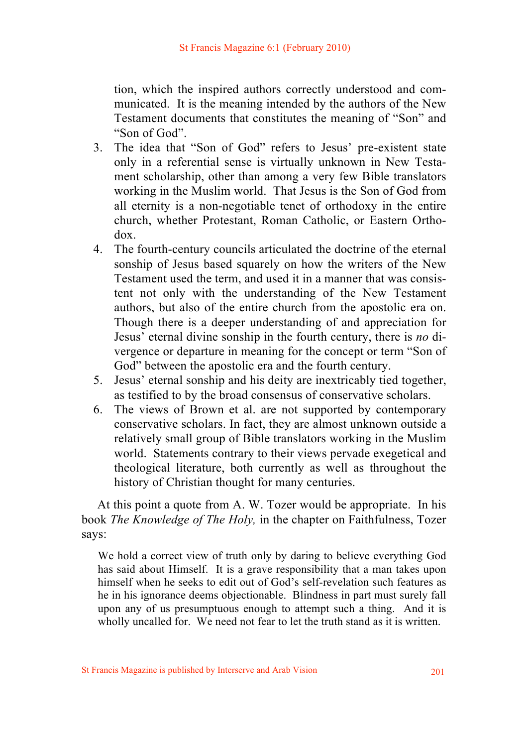tion, which the inspired authors correctly understood and communicated. It is the meaning intended by the authors of the New Testament documents that constitutes the meaning of "Son" and "Son of God".

- 3. The idea that "Son of God" refers to Jesus' pre-existent state only in a referential sense is virtually unknown in New Testament scholarship, other than among a very few Bible translators working in the Muslim world. That Jesus is the Son of God from all eternity is a non-negotiable tenet of orthodoxy in the entire church, whether Protestant, Roman Catholic, or Eastern Orthodox.
- 4. The fourth-century councils articulated the doctrine of the eternal sonship of Jesus based squarely on how the writers of the New Testament used the term, and used it in a manner that was consistent not only with the understanding of the New Testament authors, but also of the entire church from the apostolic era on. Though there is a deeper understanding of and appreciation for Jesus' eternal divine sonship in the fourth century, there is *no* divergence or departure in meaning for the concept or term "Son of God" between the apostolic era and the fourth century.
- 5. Jesus' eternal sonship and his deity are inextricably tied together, as testified to by the broad consensus of conservative scholars.
- 6. The views of Brown et al. are not supported by contemporary conservative scholars. In fact, they are almost unknown outside a relatively small group of Bible translators working in the Muslim world. Statements contrary to their views pervade exegetical and theological literature, both currently as well as throughout the history of Christian thought for many centuries.

 At this point a quote from A. W. Tozer would be appropriate. In his book *The Knowledge of The Holy,* in the chapter on Faithfulness, Tozer says:

We hold a correct view of truth only by daring to believe everything God has said about Himself. It is a grave responsibility that a man takes upon himself when he seeks to edit out of God's self-revelation such features as he in his ignorance deems objectionable. Blindness in part must surely fall upon any of us presumptuous enough to attempt such a thing. And it is wholly uncalled for. We need not fear to let the truth stand as it is written.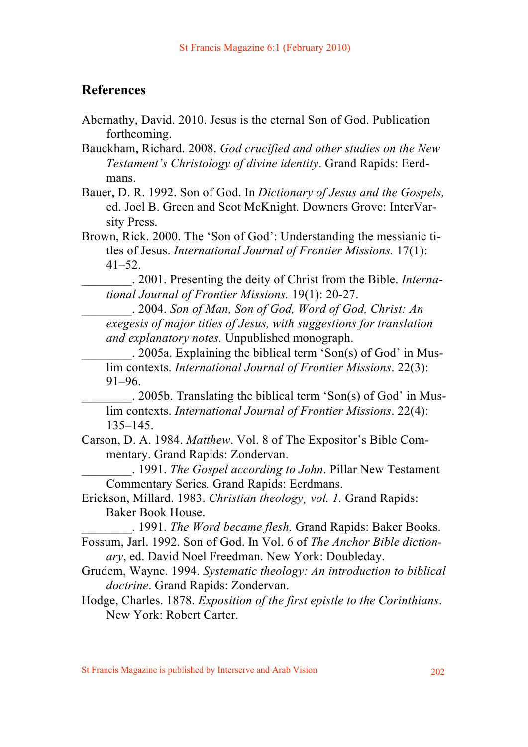# **References**

Abernathy, David. 2010. Jesus is the eternal Son of God. Publication forthcoming.

Bauckham, Richard. 2008. *God crucified and other studies on the New Testament's Christology of divine identity*. Grand Rapids: Eerdmans.

- Bauer, D. R. 1992. Son of God. In *Dictionary of Jesus and the Gospels,*  ed. Joel B. Green and Scot McKnight. Downers Grove: InterVarsity Press.
- Brown, Rick. 2000. The 'Son of God': Understanding the messianic titles of Jesus. *International Journal of Frontier Missions.* 17(1):  $41 - 52$ .

\_\_\_\_\_\_\_\_. 2001. Presenting the deity of Christ from the Bible. *International Journal of Frontier Missions.* 19(1): 20-27.

\_\_\_\_\_\_\_\_. 2004. *Son of Man, Son of God, Word of God, Christ: An exegesis of major titles of Jesus, with suggestions for translation and explanatory notes.* Unpublished monograph.

\_\_\_\_\_\_\_\_. 2005a. Explaining the biblical term 'Son(s) of God' in Muslim contexts. *International Journal of Frontier Missions*. 22(3): 91–96.

\_\_\_\_\_\_\_\_. 2005b. Translating the biblical term 'Son(s) of God' in Muslim contexts. *International Journal of Frontier Missions*. 22(4): 135–145.

Carson, D. A. 1984. *Matthew*. Vol. 8 of The Expositor's Bible Commentary. Grand Rapids: Zondervan.

\_\_\_\_\_\_\_\_. 1991. *The Gospel according to John*. Pillar New Testament Commentary Series*.* Grand Rapids: Eerdmans.

Erickson, Millard. 1983. *Christian theology¸ vol. 1.* Grand Rapids: Baker Book House.

\_\_\_\_\_\_\_\_. 1991. *The Word became flesh.* Grand Rapids: Baker Books.

Fossum, Jarl. 1992. Son of God. In Vol. 6 of *The Anchor Bible dictionary*, ed. David Noel Freedman. New York: Doubleday.

- Grudem, Wayne. 1994. *Systematic theology: An introduction to biblical doctrine*. Grand Rapids: Zondervan.
- Hodge, Charles. 1878. *Exposition of the first epistle to the Corinthians*. New York: Robert Carter.